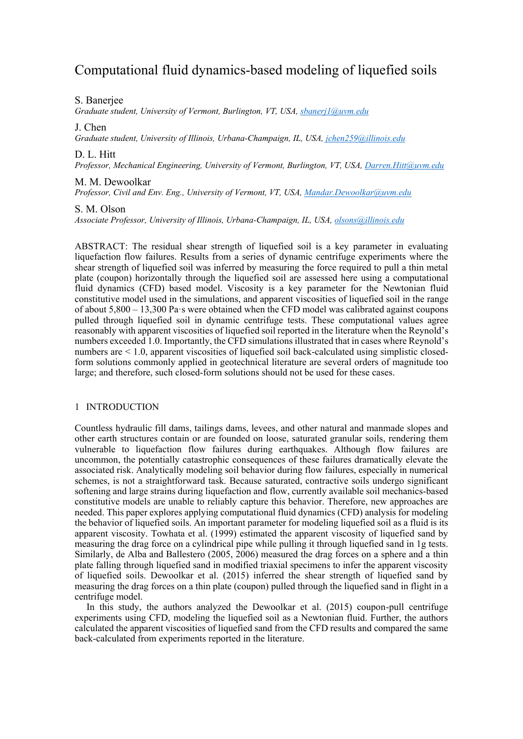# Computational fluid dynamics-based modeling of liquefied soils

S. Banerjee

*Graduate student, University of Vermont, Burlington, VT, USA, [sbanerj1@uvm.edu](mailto:sbanerj1@uvm.edu)*

J. Chen

*Graduate student, University of Illinois, Urbana-Champaign, IL, USA, [jchen259@illinois.edu](mailto:jchen259@illinois.edu)*

D. L. Hitt

*Professor, Mechanical Engineering, University of Vermont, Burlington, VT, USA, [Darren.Hitt@uvm.edu](mailto:Darren.Hitt@uvm.edu)*

## M. M. Dewoolkar

*Professor, Civil and Env. Eng., University of Vermont, VT, USA, [Mandar.Dewoolkar@uvm.edu](mailto:Mandar.Dewoolkar@uvm.edu)*

## S. M. Olson

*Associate Professor, University of Illinois, Urbana-Champaign, IL, USA, [olsons@illinois.edu](mailto:olsons@illinois.edu)*

ABSTRACT: The residual shear strength of liquefied soil is a key parameter in evaluating liquefaction flow failures. Results from a series of dynamic centrifuge experiments where the shear strength of liquefied soil was inferred by measuring the force required to pull a thin metal plate (coupon) horizontally through the liquefied soil are assessed here using a computational fluid dynamics (CFD) based model. Viscosity is a key parameter for the Newtonian fluid constitutive model used in the simulations, and apparent viscosities of liquefied soil in the range of about 5,800 – 13,300 Pa·s were obtained when the CFD model was calibrated against coupons pulled through liquefied soil in dynamic centrifuge tests. These computational values agree reasonably with apparent viscosities of liquefied soil reported in the literature when the Reynold's numbers exceeded 1.0. Importantly, the CFD simulations illustrated that in cases where Reynold's numbers are < 1.0, apparent viscosities of liquefied soil back-calculated using simplistic closedform solutions commonly applied in geotechnical literature are several orders of magnitude too large; and therefore, such closed-form solutions should not be used for these cases.

# 1 INTRODUCTION

Countless hydraulic fill dams, tailings dams, levees, and other natural and manmade slopes and other earth structures contain or are founded on loose, saturated granular soils, rendering them vulnerable to liquefaction flow failures during earthquakes. Although flow failures are uncommon, the potentially catastrophic consequences of these failures dramatically elevate the associated risk. Analytically modeling soil behavior during flow failures, especially in numerical schemes, is not a straightforward task. Because saturated, contractive soils undergo significant softening and large strains during liquefaction and flow, currently available soil mechanics-based constitutive models are unable to reliably capture this behavior. Therefore, new approaches are needed. This paper explores applying computational fluid dynamics (CFD) analysis for modeling the behavior of liquefied soils. An important parameter for modeling liquefied soil as a fluid is its apparent viscosity. Towhata et al. (1999) estimated the apparent viscosity of liquefied sand by measuring the drag force on a cylindrical pipe while pulling it through liquefied sand in 1g tests. Similarly, de Alba and Ballestero (2005, 2006) measured the drag forces on a sphere and a thin plate falling through liquefied sand in modified triaxial specimens to infer the apparent viscosity of liquefied soils. Dewoolkar et al. (2015) inferred the shear strength of liquefied sand by measuring the drag forces on a thin plate (coupon) pulled through the liquefied sand in flight in a centrifuge model.

In this study, the authors analyzed the Dewoolkar et al. (2015) coupon-pull centrifuge experiments using CFD, modeling the liquefied soil as a Newtonian fluid. Further, the authors calculated the apparent viscosities of liquefied sand from the CFD results and compared the same back-calculated from experiments reported in the literature.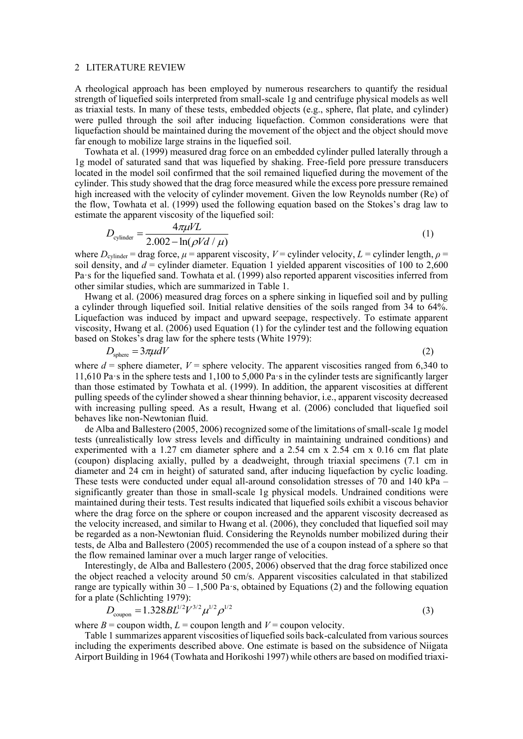#### 2 LITERATURE REVIEW

A rheological approach has been employed by numerous researchers to quantify the residual strength of liquefied soils interpreted from small-scale 1g and centrifuge physical models as well as triaxial tests. In many of these tests, embedded objects (e.g., sphere, flat plate, and cylinder) were pulled through the soil after inducing liquefaction. Common considerations were that liquefaction should be maintained during the movement of the object and the object should move far enough to mobilize large strains in the liquefied soil.

Towhata et al. (1999) measured drag force on an embedded cylinder pulled laterally through a 1g model of saturated sand that was liquefied by shaking. Free-field pore pressure transducers located in the model soil confirmed that the soil remained liquefied during the movement of the cylinder. This study showed that the drag force measured while the excess pore pressure remained high increased with the velocity of cylinder movement. Given the low Reynolds number (Re) of the flow, Towhata et al. (1999) used the following equation based on the Stokes's drag law to estimate the apparent viscosity of the liquefied soil:

$$
D_{\text{cylinder}} = \frac{4\pi\mu VL}{2.002 - \ln(\rho V d / \mu)}
$$
\n(1)

where  $D_{\text{cylinder}} = \text{drag force}, \mu = \text{apparent viscosity}, V = \text{cylinder velocity}, L = \text{cylinder length}, \rho =$ soil density, and  $d =$  cylinder diameter. Equation 1 yielded apparent viscosities of 100 to 2,600 Pa·s for the liquefied sand. Towhata et al. (1999) also reported apparent viscosities inferred from other similar studies, which are summarized in Table 1.

Hwang et al. (2006) measured drag forces on a sphere sinking in liquefied soil and by pulling a cylinder through liquefied soil. Initial relative densities of the soils ranged from 34 to 64%. Liquefaction was induced by impact and upward seepage, respectively. To estimate apparent viscosity, Hwang et al. (2006) used Equation (1) for the cylinder test and the following equation based on Stokes's drag law for the sphere tests (White 1979):

$$
D_{\text{sphere}} = 3\pi\mu dV \tag{2}
$$

where  $d$  = sphere diameter,  $V$  = sphere velocity. The apparent viscosities ranged from 6,340 to 11,610 Pa·s in the sphere tests and 1,100 to 5,000 Pa·s in the cylinder tests are significantly larger than those estimated by Towhata et al. (1999). In addition, the apparent viscosities at different pulling speeds of the cylinder showed a shear thinning behavior, i.e., apparent viscosity decreased with increasing pulling speed. As a result, Hwang et al. (2006) concluded that liquefied soil behaves like non-Newtonian fluid.

de Alba and Ballestero (2005, 2006) recognized some of the limitations of small-scale 1g model tests (unrealistically low stress levels and difficulty in maintaining undrained conditions) and experimented with a 1.27 cm diameter sphere and a 2.54 cm x 2.54 cm x 0.16 cm flat plate (coupon) displacing axially, pulled by a deadweight, through triaxial specimens (7.1 cm in diameter and 24 cm in height) of saturated sand, after inducing liquefaction by cyclic loading. These tests were conducted under equal all-around consolidation stresses of 70 and 140 kPa – significantly greater than those in small-scale 1g physical models. Undrained conditions were maintained during their tests. Test results indicated that liquefied soils exhibit a viscous behavior where the drag force on the sphere or coupon increased and the apparent viscosity decreased as the velocity increased, and similar to Hwang et al. (2006), they concluded that liquefied soil may be regarded as a non-Newtonian fluid. Considering the Reynolds number mobilized during their tests, de Alba and Ballestero (2005) recommended the use of a coupon instead of a sphere so that the flow remained laminar over a much larger range of velocities.

Interestingly, de Alba and Ballestero (2005, 2006) observed that the drag force stabilized once the object reached a velocity around 50 cm/s. Apparent viscosities calculated in that stabilized range are typically within  $30 - 1,500$  Pa·s, obtained by Equations (2) and the following equation for a plate (Schlichting 1979):

$$
D_{\text{coupon}} = 1.328 B L^{1/2} V^{3/2} \mu^{1/2} \rho^{1/2}
$$
\n(3)

where  $B =$  coupon width,  $L =$  coupon length and  $V =$  coupon velocity.

Table 1 summarizes apparent viscosities of liquefied soils back-calculated from varioussources including the experiments described above. One estimate is based on the subsidence of Niigata Airport Building in 1964 (Towhata and Horikoshi 1997) while others are based on modified triaxi-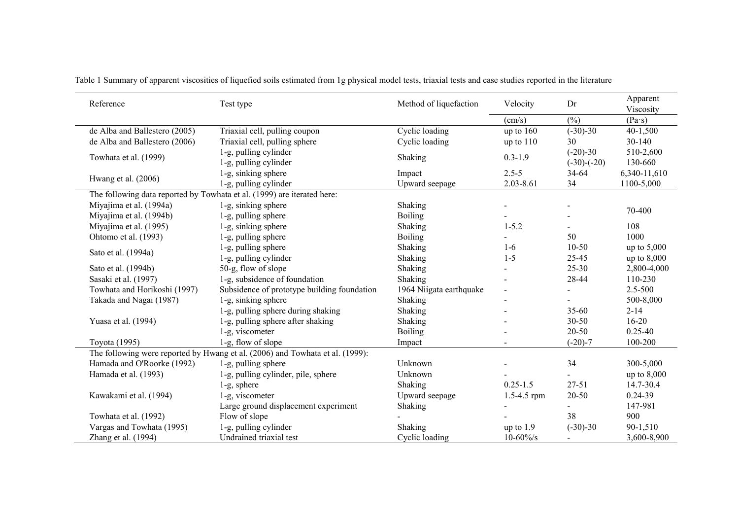| Reference                                                                     | Test type                                      | Method of liquefaction  | Velocity        | Dr                          | Apparent<br>Viscosity |
|-------------------------------------------------------------------------------|------------------------------------------------|-------------------------|-----------------|-----------------------------|-----------------------|
|                                                                               |                                                |                         | $\text{(cm/s)}$ | (%)                         | $(Pa \cdot s)$        |
| de Alba and Ballestero (2005)                                                 | Triaxial cell, pulling coupon                  | Cyclic loading          | up to $160$     | $(-30)-30$                  | 40-1,500              |
| de Alba and Ballestero (2006)                                                 | Triaxial cell, pulling sphere                  | Cyclic loading          | up to $110$     | 30                          | $30 - 140$            |
| Towhata et al. (1999)                                                         | 1-g, pulling cylinder<br>1-g, pulling cylinder | Shaking                 | $0.3 - 1.9$     | $(-20)-30$<br>$(-30)-(-20)$ | 510-2,600<br>130-660  |
| Hwang et al. (2006)                                                           | 1-g, sinking sphere                            | Impact                  | $2.5 - 5$       | 34-64                       | 6,340-11,610          |
|                                                                               | 1-g, pulling cylinder                          | Upward seepage          | 2.03-8.61       | 34                          | 1100-5,000            |
| The following data reported by Towhata et al. (1999) are iterated here:       |                                                |                         |                 |                             |                       |
| Miyajima et al. (1994a)                                                       | 1-g, sinking sphere                            | Shaking                 |                 |                             |                       |
| Miyajima et al. (1994b)                                                       | 1-g, pulling sphere                            | <b>Boiling</b>          |                 |                             | 70-400                |
| Miyajima et al. (1995)                                                        | 1-g, sinking sphere                            | Shaking                 | $1 - 5.2$       |                             | 108                   |
| Ohtomo et al. (1993)                                                          | 1-g, pulling sphere                            | <b>Boiling</b>          |                 | 50                          | 1000                  |
| Sato et al. (1994a)                                                           | 1-g, pulling sphere                            | Shaking                 | $1-6$           | $10 - 50$                   | up to $5,000$         |
|                                                                               | 1-g, pulling cylinder                          | Shaking                 | $1 - 5$         | $25 - 45$                   | up to $8,000$         |
| Sato et al. (1994b)                                                           | 50-g, flow of slope                            | Shaking                 |                 | $25 - 30$                   | 2,800-4,000           |
| Sasaki et al. (1997)                                                          | 1-g, subsidence of foundation                  | Shaking                 |                 | 28-44                       | 110-230               |
| Towhata and Horikoshi (1997)                                                  | Subsidence of prototype building foundation    | 1964 Niigata earthquake | $\overline{a}$  |                             | 2.5-500               |
| Takada and Nagai (1987)                                                       | 1-g, sinking sphere                            | Shaking                 |                 |                             | 500-8,000             |
|                                                                               | 1-g, pulling sphere during shaking             | Shaking                 |                 | $35 - 60$                   | $2 - 14$              |
| Yuasa et al. (1994)                                                           | 1-g, pulling sphere after shaking              | Shaking                 |                 | 30-50                       | $16 - 20$             |
|                                                                               | 1-g, viscometer                                | Boiling                 |                 | 20-50                       | $0.25 - 40$           |
| Toyota (1995)                                                                 | 1-g, flow of slope                             | Impact                  |                 | $(-20)-7$                   | 100-200               |
| The following were reported by Hwang et al. (2006) and Towhata et al. (1999): |                                                |                         |                 |                             |                       |
| Hamada and O'Roorke (1992)                                                    | 1-g, pulling sphere                            | Unknown                 |                 | 34                          | 300-5,000             |
| Hamada et al. (1993)                                                          | 1-g, pulling cylinder, pile, sphere            | Unknown                 |                 |                             | up to $8,000$         |
|                                                                               | $1-g$ , sphere                                 | Shaking                 | $0.25 - 1.5$    | $27 - 51$                   | 14.7-30.4             |
| Kawakami et al. (1994)                                                        | 1-g, viscometer                                | Upward seepage          | $1.5 - 4.5$ rpm | 20-50                       | $0.24 - 39$           |
|                                                                               | Large ground displacement experiment           | <b>Shaking</b>          |                 |                             | 147-981               |
| Towhata et al. (1992)                                                         | Flow of slope                                  |                         |                 | 38                          | 900                   |
| Vargas and Towhata (1995)                                                     | 1-g, pulling cylinder                          | Shaking                 | up to $1.9$     | $(-30)-30$                  | 90-1,510              |
| Zhang et al. $(1994)$                                                         | Undrained triaxial test                        | Cyclic loading          | $10 - 60\%$     |                             | 3,600-8,900           |

Table 1 Summary of apparent viscosities of liquefied soils estimated from 1g physical model tests, triaxial tests and case studies reported in the literature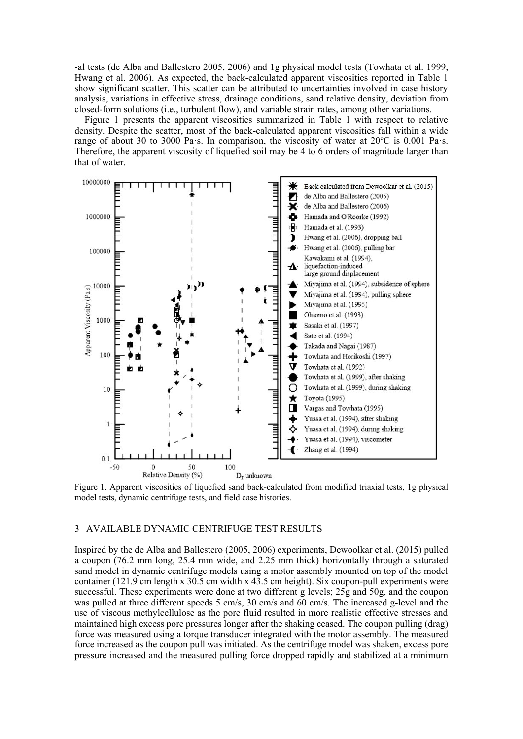-al tests (de Alba and Ballestero 2005, 2006) and 1g physical model tests (Towhata et al. 1999, Hwang et al. 2006). As expected, the back-calculated apparent viscosities reported in Table 1 show significant scatter. This scatter can be attributed to uncertainties involved in case history analysis, variations in effective stress, drainage conditions, sand relative density, deviation from closed-form solutions (i.e., turbulent flow), and variable strain rates, among other variations.

Figure 1 presents the apparent viscosities summarized in Table 1 with respect to relative density. Despite the scatter, most of the back-calculated apparent viscosities fall within a wide range of about 30 to 3000 Pa·s. In comparison, the viscosity of water at  $20^{\circ}$ C is 0.001 Pa·s. Therefore, the apparent viscosity of liquefied soil may be 4 to 6 orders of magnitude larger than that of water.



Figure 1. Apparent viscosities of liquefied sand back-calculated from modified triaxial tests, 1g physical model tests, dynamic centrifuge tests, and field case histories.

# 3 AVAILABLE DYNAMIC CENTRIFUGE TEST RESULTS

Inspired by the de Alba and Ballestero (2005, 2006) experiments, Dewoolkar et al. (2015) pulled a coupon (76.2 mm long, 25.4 mm wide, and 2.25 mm thick) horizontally through a saturated sand model in dynamic centrifuge models using a motor assembly mounted on top of the model container (121.9 cm length x 30.5 cm width x 43.5 cm height). Six coupon-pull experiments were successful. These experiments were done at two different g levels; 25g and 50g, and the coupon was pulled at three different speeds 5 cm/s, 30 cm/s and 60 cm/s. The increased g-level and the use of viscous methylcellulose as the pore fluid resulted in more realistic effective stresses and maintained high excess pore pressures longer after the shaking ceased. The coupon pulling (drag) force was measured using a torque transducer integrated with the motor assembly. The measured force increased as the coupon pull was initiated. As the centrifuge model was shaken, excess pore pressure increased and the measured pulling force dropped rapidly and stabilized at a minimum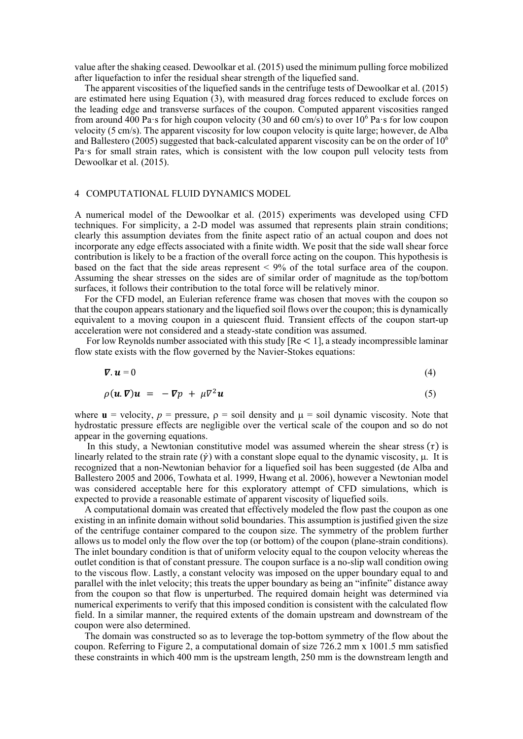value after the shaking ceased. Dewoolkar et al. (2015) used the minimum pulling force mobilized after liquefaction to infer the residual shear strength of the liquefied sand.

The apparent viscosities of the liquefied sands in the centrifuge tests of Dewoolkar et al. (2015) are estimated here using Equation (3), with measured drag forces reduced to exclude forces on the leading edge and transverse surfaces of the coupon. Computed apparent viscosities ranged from around 400 Pa·s for high coupon velocity (30 and 60 cm/s) to over  $10^6$  Pa·s for low coupon velocity (5 cm/s). The apparent viscosity for low coupon velocity is quite large; however, de Alba and Ballestero (2005) suggested that back-calculated apparent viscosity can be on the order of  $10<sup>6</sup>$ Pa·s for small strain rates, which is consistent with the low coupon pull velocity tests from Dewoolkar et al. (2015).

# 4 COMPUTATIONAL FLUID DYNAMICS MODEL

A numerical model of the Dewoolkar et al. (2015) experiments was developed using CFD techniques. For simplicity, a 2-D model was assumed that represents plain strain conditions; clearly this assumption deviates from the finite aspect ratio of an actual coupon and does not incorporate any edge effects associated with a finite width. We posit that the side wall shear force contribution is likely to be a fraction of the overall force acting on the coupon. This hypothesis is based on the fact that the side areas represent < 9% of the total surface area of the coupon. Assuming the shear stresses on the sides are of similar order of magnitude as the top/bottom surfaces, it follows their contribution to the total force will be relatively minor.

For the CFD model, an Eulerian reference frame was chosen that moves with the coupon so that the coupon appears stationary and the liquefied soil flows over the coupon; this is dynamically equivalent to a moving coupon in a quiescent fluid. Transient effects of the coupon start-up acceleration were not considered and a steady-state condition was assumed.

For low Reynolds number associated with this study  $[Re < 1]$ , a steady incompressible laminar flow state exists with the flow governed by the Navier-Stokes equations:

$$
\nabla \cdot \mathbf{u} = 0 \tag{4}
$$

$$
\rho(\mathbf{u}.\boldsymbol{\nabla})\mathbf{u} = -\boldsymbol{\nabla}p + \mu \nabla^2 \mathbf{u} \tag{5}
$$

where  $\mathbf{u} =$  velocity,  $p =$  pressure,  $p =$  soil density and  $\mu =$  soil dynamic viscosity. Note that hydrostatic pressure effects are negligible over the vertical scale of the coupon and so do not appear in the governing equations.

In this study, a Newtonian constitutive model was assumed wherein the shear stress  $(\tau)$  is linearly related to the strain rate  $(\dot{v})$  with a constant slope equal to the dynamic viscosity,  $\mu$ . It is recognized that a non-Newtonian behavior for a liquefied soil has been suggested (de Alba and Ballestero 2005 and 2006, Towhata et al. 1999, Hwang et al. 2006), however a Newtonian model was considered acceptable here for this exploratory attempt of CFD simulations, which is expected to provide a reasonable estimate of apparent viscosity of liquefied soils.

A computational domain was created that effectively modeled the flow past the coupon as one existing in an infinite domain without solid boundaries. This assumption is justified given the size of the centrifuge container compared to the coupon size. The symmetry of the problem further allows us to model only the flow over the top (or bottom) of the coupon (plane-strain conditions). The inlet boundary condition is that of uniform velocity equal to the coupon velocity whereas the outlet condition is that of constant pressure. The coupon surface is a no-slip wall condition owing to the viscous flow. Lastly, a constant velocity was imposed on the upper boundary equal to and parallel with the inlet velocity; this treats the upper boundary as being an "infinite" distance away from the coupon so that flow is unperturbed. The required domain height was determined via numerical experiments to verify that this imposed condition is consistent with the calculated flow field. In a similar manner, the required extents of the domain upstream and downstream of the coupon were also determined.

The domain was constructed so as to leverage the top-bottom symmetry of the flow about the coupon. Referring to Figure 2, a computational domain of size 726.2 mm x 1001.5 mm satisfied these constraints in which 400 mm is the upstream length, 250 mm is the downstream length and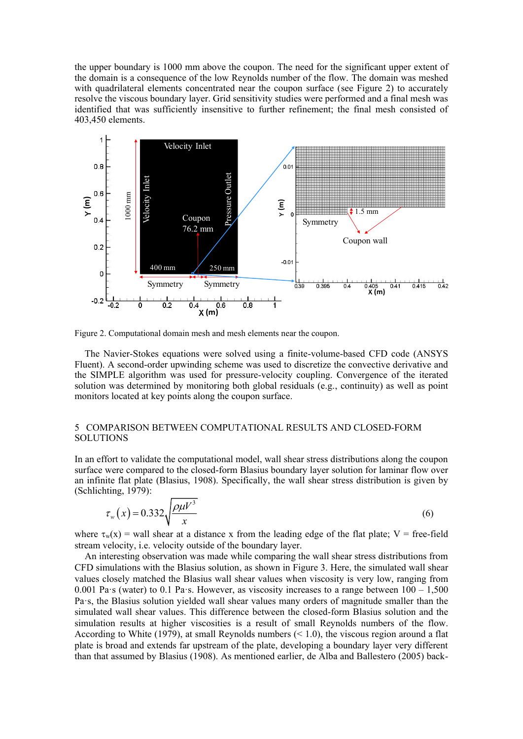the upper boundary is 1000 mm above the coupon. The need for the significant upper extent of the domain is a consequence of the low Reynolds number of the flow. The domain was meshed with quadrilateral elements concentrated near the coupon surface (see Figure 2) to accurately resolve the viscous boundary layer. Grid sensitivity studies were performed and a final mesh was identified that was sufficiently insensitive to further refinement; the final mesh consisted of 403,450 elements.



Figure 2. Computational domain mesh and mesh elements near the coupon.

The Navier-Stokes equations were solved using a finite-volume-based CFD code (ANSYS Fluent). A second-order upwinding scheme was used to discretize the convective derivative and the SIMPLE algorithm was used for pressure-velocity coupling. Convergence of the iterated solution was determined by monitoring both global residuals (e.g., continuity) as well as point monitors located at key points along the coupon surface.

# 5 COMPARISON BETWEEN COMPUTATIONAL RESULTS AND CLOSED-FORM SOLUTIONS

In an effort to validate the computational model, wall shear stress distributions along the coupon surface were compared to the closed-form Blasius boundary layer solution for laminar flow over an infinite flat plate (Blasius, 1908). Specifically, the wall shear stress distribution is given by (Schlichting, 1979):

$$
\tau_{w}(x) = 0.332 \sqrt{\frac{\rho \mu V^3}{x}}
$$
\n
$$
\tag{6}
$$

where  $\tau_w(x)$  = wall shear at a distance x from the leading edge of the flat plate; V = free-field stream velocity, i.e. velocity outside of the boundary layer.

An interesting observation was made while comparing the wall shear stress distributions from CFD simulations with the Blasius solution, as shown in Figure 3. Here, the simulated wall shear values closely matched the Blasius wall shear values when viscosity is very low, ranging from 0.001 Pa·s (water) to 0.1 Pa·s. However, as viscosity increases to a range between  $100 - 1,500$ Pa·s, the Blasius solution yielded wall shear values many orders of magnitude smaller than the simulated wall shear values. This difference between the closed-form Blasius solution and the simulation results at higher viscosities is a result of small Reynolds numbers of the flow. According to White (1979), at small Reynolds numbers (< 1.0), the viscous region around a flat plate is broad and extends far upstream of the plate, developing a boundary layer very different than that assumed by Blasius (1908). As mentioned earlier, de Alba and Ballestero (2005) back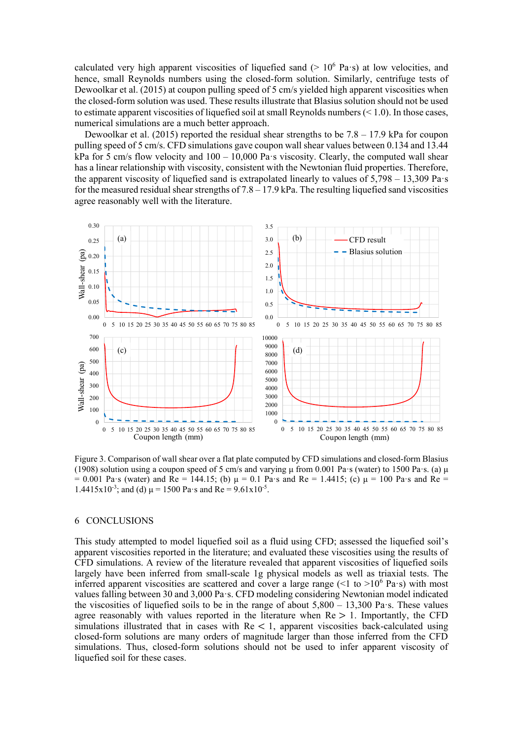calculated very high apparent viscosities of liquefied sand ( $> 10^6$  Pa·s) at low velocities, and hence, small Reynolds numbers using the closed-form solution. Similarly, centrifuge tests of Dewoolkar et al. (2015) at coupon pulling speed of 5 cm/s yielded high apparent viscosities when the closed-form solution was used. These results illustrate that Blasius solution should not be used to estimate apparent viscosities of liquefied soil at small Reynolds numbers  $(< 1.0)$ . In those cases, numerical simulations are a much better approach.

Dewoolkar et al. (2015) reported the residual shear strengths to be  $7.8 - 17.9$  kPa for coupon pulling speed of 5 cm/s. CFD simulations gave coupon wall shear values between 0.134 and 13.44 kPa for 5 cm/s flow velocity and 100 – 10,000 Pa·s viscosity. Clearly, the computed wall shear has a linear relationship with viscosity, consistent with the Newtonian fluid properties. Therefore, the apparent viscosity of liquefied sand is extrapolated linearly to values of  $5.798 - 13.309$  Pa·s for the measured residual shear strengths of  $7.8 - 17.9$  kPa. The resulting liquefied sand viscosities agree reasonably well with the literature.



Figure 3. Comparison of wall shear over a flat plate computed by CFD simulations and closed-form Blasius (1908) solution using a coupon speed of 5 cm/s and varying μ from 0.001 Pa·s (water) to 1500 Pa·s. (a) μ = 0.001 Pa·s (water) and Re = 144.15; (b) μ = 0.1 Pa·s and Re = 1.4415; (c) μ = 100 Pa·s and Re = 1.4415x10<sup>-3</sup>; and (d)  $\mu$  = 1500 Pa·s and Re = 9.61x10<sup>-5</sup>.

## 6 CONCLUSIONS

This study attempted to model liquefied soil as a fluid using CFD; assessed the liquefied soil's apparent viscosities reported in the literature; and evaluated these viscosities using the results of CFD simulations. A review of the literature revealed that apparent viscosities of liquefied soils largely have been inferred from small-scale 1g physical models as well as triaxial tests. The inferred apparent viscosities are scattered and cover a large range  $(<1$  to  $>10^6$  Pa·s) with most values falling between 30 and 3,000 Pa·s. CFD modeling considering Newtonian model indicated the viscosities of liquefied soils to be in the range of about  $5,800 - 13,300$  Pa·s. These values agree reasonably with values reported in the literature when  $Re > 1$ . Importantly, the CFD simulations illustrated that in cases with  $Re < 1$ , apparent viscosities back-calculated using closed-form solutions are many orders of magnitude larger than those inferred from the CFD simulations. Thus, closed-form solutions should not be used to infer apparent viscosity of liquefied soil for these cases.